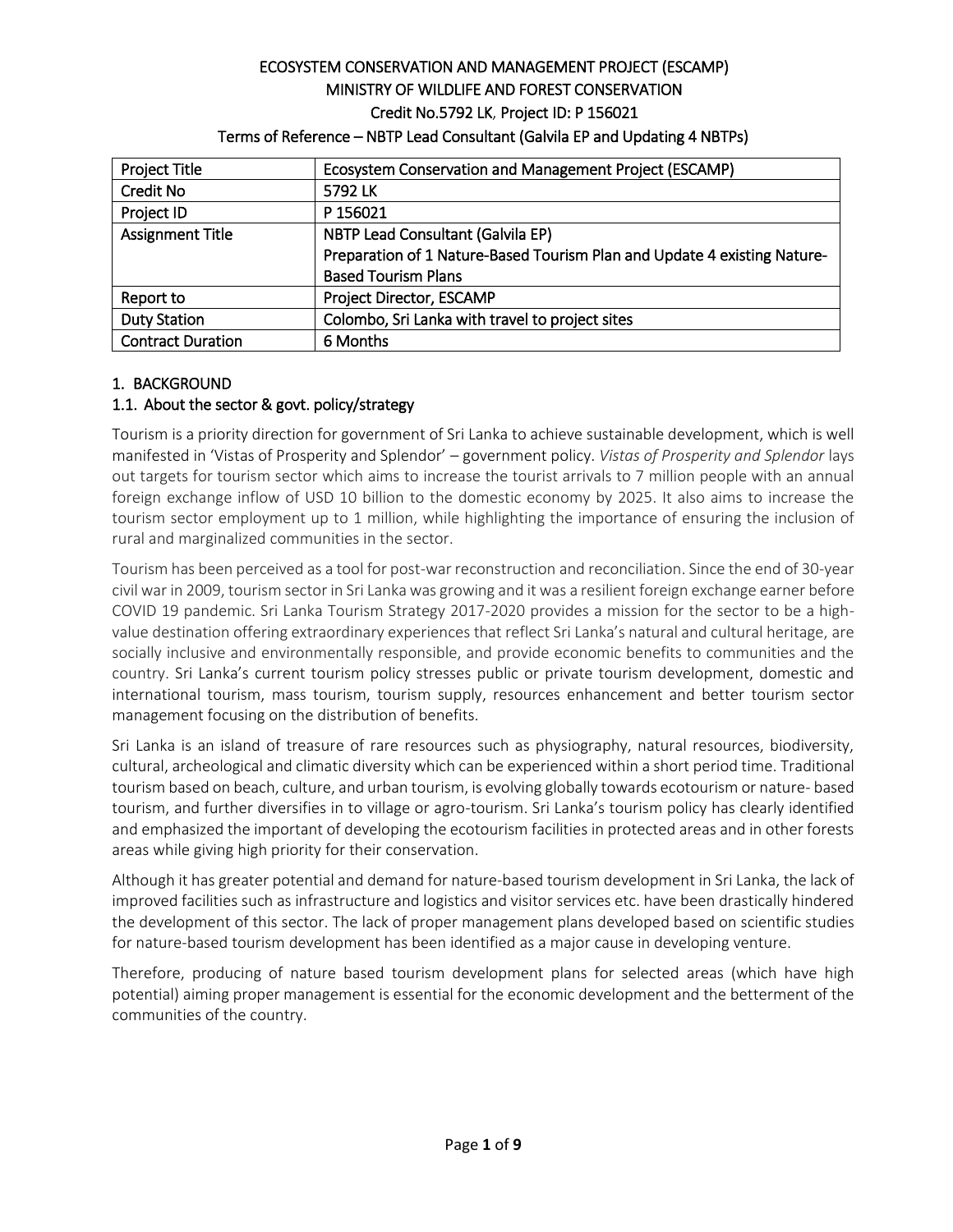# ECOSYSTEM CONSERVATION AND MANAGEMENT PROJECT (ESCAMP) MINISTRY OF WILDLIFE AND FOREST CONSERVATION Credit No.5792 LK, Project ID: P 156021

| <b>Project Title</b>     | Ecosystem Conservation and Management Project (ESCAMP)                   |
|--------------------------|--------------------------------------------------------------------------|
| <b>Credit No</b>         | 5792 LK                                                                  |
| Project ID               | P 156021                                                                 |
| <b>Assignment Title</b>  | <b>NBTP Lead Consultant (Galvila EP)</b>                                 |
|                          | Preparation of 1 Nature-Based Tourism Plan and Update 4 existing Nature- |
|                          | <b>Based Tourism Plans</b>                                               |
| Report to                | Project Director, ESCAMP                                                 |
| <b>Duty Station</b>      | Colombo, Sri Lanka with travel to project sites                          |
| <b>Contract Duration</b> | 6 Months                                                                 |

### Terms of Reference – NBTP Lead Consultant (Galvila EP and Updating 4 NBTPs)

# 1. BACKGROUND

### 1.1. About the sector & govt. policy/strategy

Tourism is a priority direction for government of Sri Lanka to achieve sustainable development, which is well manifested in 'Vistas of Prosperity and Splendor' – government policy. *Vistas of Prosperity and Splendor* lays out targets for tourism sector which aims to increase the tourist arrivals to 7 million people with an annual foreign exchange inflow of USD 10 billion to the domestic economy by 2025. It also aims to increase the tourism sector employment up to 1 million, while highlighting the importance of ensuring the inclusion of rural and marginalized communities in the sector.

Tourism has been perceived as a tool for post-war reconstruction and reconciliation. Since the end of 30-year civil war in 2009, tourism sector in Sri Lanka was growing and it was a resilient foreign exchange earner before COVID 19 pandemic. Sri Lanka Tourism Strategy 2017-2020 provides a mission for the sector to be a highvalue destination offering extraordinary experiences that reflect Sri Lanka's natural and cultural heritage, are socially inclusive and environmentally responsible, and provide economic benefits to communities and the country. Sri Lanka's current tourism policy stresses public or private tourism development, domestic and international tourism, mass tourism, tourism supply, resources enhancement and better tourism sector management focusing on the distribution of benefits.

Sri Lanka is an island of treasure of rare resources such as physiography, natural resources, biodiversity, cultural, archeological and climatic diversity which can be experienced within a short period time. Traditional tourism based on beach, culture, and urban tourism, is evolving globally towards ecotourism or nature- based tourism, and further diversifies in to village or agro-tourism. Sri Lanka's tourism policy has clearly identified and emphasized the important of developing the ecotourism facilities in protected areas and in other forests areas while giving high priority for their conservation.

Although it has greater potential and demand for nature-based tourism development in Sri Lanka, the lack of improved facilities such as infrastructure and logistics and visitor services etc. have been drastically hindered the development of this sector. The lack of proper management plans developed based on scientific studies for nature-based tourism development has been identified as a major cause in developing venture.

Therefore, producing of nature based tourism development plans for selected areas (which have high potential) aiming proper management is essential for the economic development and the betterment of the communities of the country.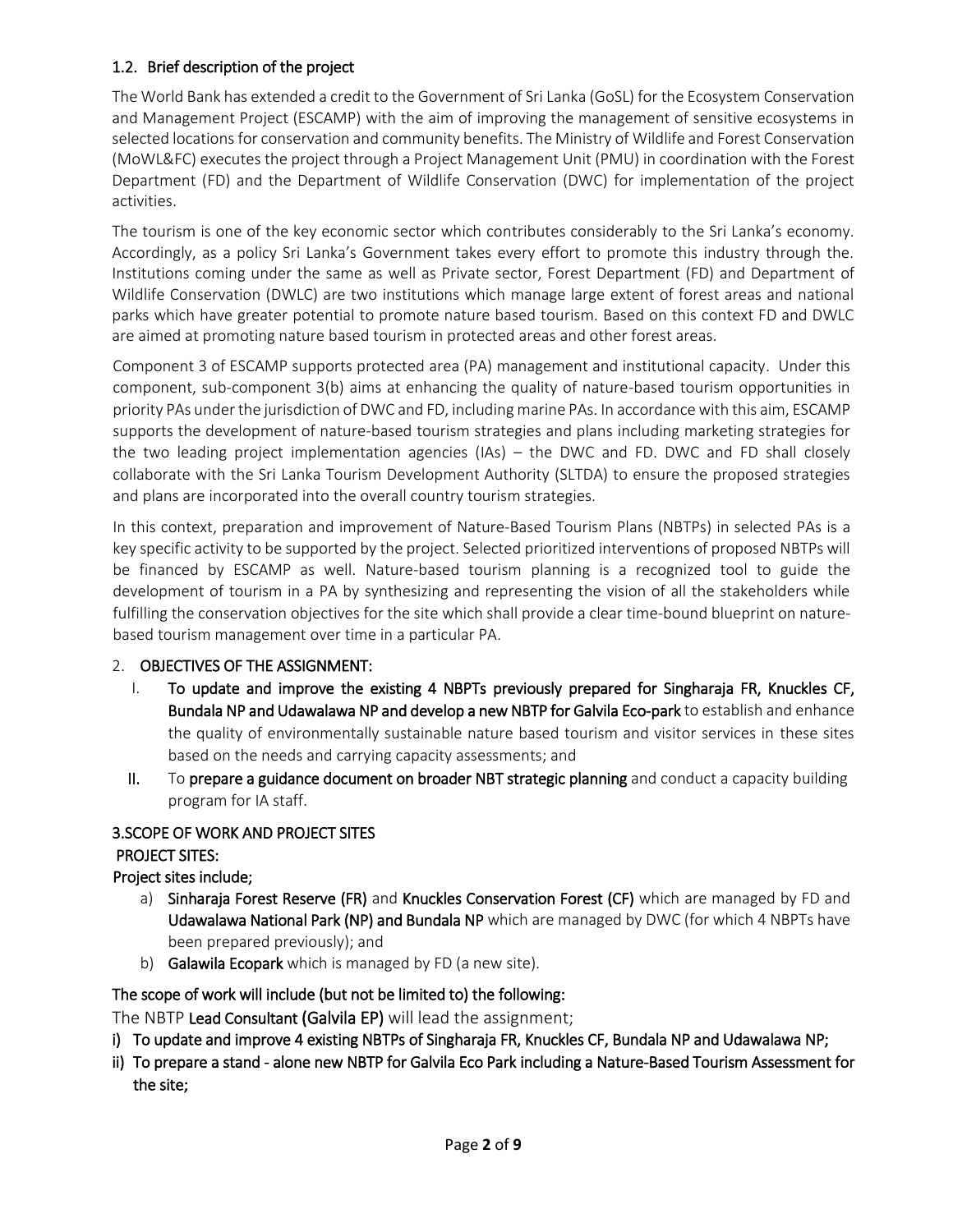### 1.2. Brief description of the project

The World Bank has extended a credit to the Government of Sri Lanka (GoSL) for the Ecosystem Conservation and Management Project (ESCAMP) with the aim of improving the management of sensitive ecosystems in selected locations for conservation and community benefits. The Ministry of Wildlife and Forest Conservation (MoWL&FC) executes the project through a Project Management Unit (PMU) in coordination with the Forest Department (FD) and the Department of Wildlife Conservation (DWC) for implementation of the project activities.

The tourism is one of the key economic sector which contributes considerably to the Sri Lanka's economy. Accordingly, as a policy Sri Lanka's Government takes every effort to promote this industry through the. Institutions coming under the same as well as Private sector, Forest Department (FD) and Department of Wildlife Conservation (DWLC) are two institutions which manage large extent of forest areas and national parks which have greater potential to promote nature based tourism. Based on this context FD and DWLC are aimed at promoting nature based tourism in protected areas and other forest areas.

Component 3 of ESCAMP supports protected area (PA) management and institutional capacity. Under this component, sub-component 3(b) aims at enhancing the quality of nature-based tourism opportunities in priority PAs under the jurisdiction of DWC and FD, including marine PAs. In accordance with this aim, ESCAMP supports the development of nature-based tourism strategies and plans including marketing strategies for the two leading project implementation agencies (IAs) – the DWC and FD. DWC and FD shall closely collaborate with the Sri Lanka Tourism Development Authority (SLTDA) to ensure the proposed strategies and plans are incorporated into the overall country tourism strategies.

In this context, preparation and improvement of Nature-Based Tourism Plans (NBTPs) in selected PAs is a key specific activity to be supported by the project. Selected prioritized interventions of proposed NBTPs will be financed by ESCAMP as well. Nature-based tourism planning is a recognized tool to guide the development of tourism in a PA by synthesizing and representing the vision of all the stakeholders while fulfilling the conservation objectives for the site which shall provide a clear time-bound blueprint on naturebased tourism management over time in a particular PA.

# 2. OBJECTIVES OF THE ASSIGNMENT:

- I. To update and improve the existing 4 NBPTs previously prepared for Singharaja FR, Knuckles CF, Bundala NP and Udawalawa NP and develop a new NBTP for Galvila Eco-park to establish and enhance the quality of environmentally sustainable nature based tourism and visitor services in these sites based on the needs and carrying capacity assessments; and
- II. To prepare a guidance document on broader NBT strategic planning and conduct a capacity building program for IA staff.

# 3.SCOPE OF WORK AND PROJECT SITES

### PROJECT SITES:

# Project sites include;

- a) Sinharaja Forest Reserve (FR) and Knuckles Conservation Forest (CF) which are managed by FD and Udawalawa National Park (NP) and Bundala NP which are managed by DWC (for which 4 NBPTs have been prepared previously); and
- b) Galawila Ecopark which is managed by FD (a new site).

# The scope of work will include (but not be limited to) the following:

The NBTP Lead Consultant (Galvila EP) will lead the assignment;

- i) To update and improve 4 existing NBTPs of Singharaja FR, Knuckles CF, Bundala NP and Udawalawa NP;
- ii) To prepare a stand alone new NBTP for Galvila Eco Park including a Nature-Based Tourism Assessment for the site;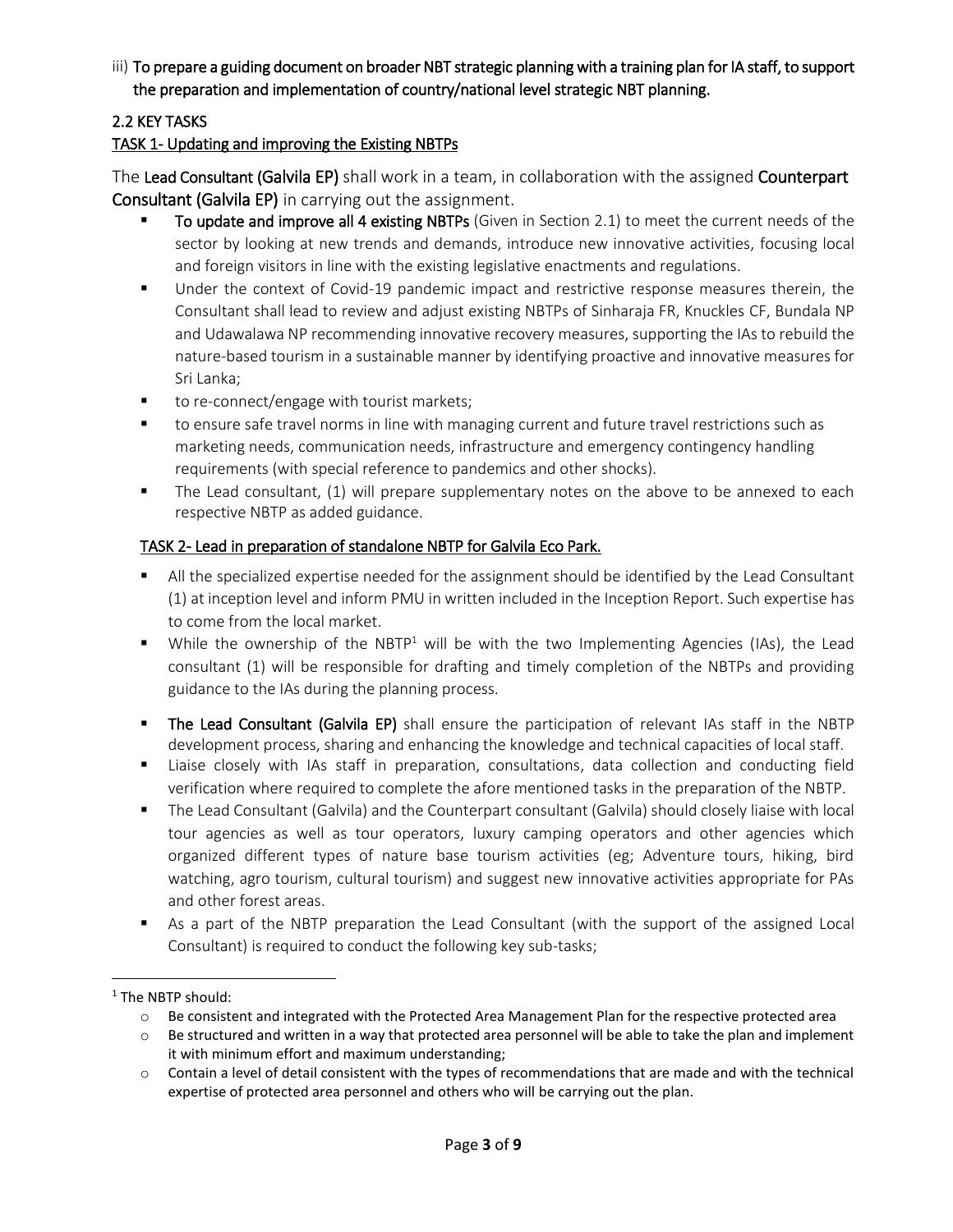# iii) To prepare a guiding document on broader NBT strategic planning with a training plan for IA staff, to support the preparation and implementation of country/national level strategic NBT planning.

# 2.2 KEY TASKS

# TASK 1- Updating and improving the Existing NBTPs

The Lead Consultant (Galvila EP) shall work in a team, in collaboration with the assigned Counterpart Consultant (Galvila EP) in carrying out the assignment.

- To update and improve all 4 existing NBTPs (Given in Section 2.1) to meet the current needs of the sector by looking at new trends and demands, introduce new innovative activities, focusing local and foreign visitors in line with the existing legislative enactments and regulations.
- **Under the context of Covid-19 pandemic impact and restrictive response measures therein, the** Consultant shall lead to review and adjust existing NBTPs of Sinharaja FR, Knuckles CF, Bundala NP and Udawalawa NP recommending innovative recovery measures, supporting the IAs to rebuild the nature-based tourism in a sustainable manner by identifying proactive and innovative measures for Sri Lanka;
- to re-connect/engage with tourist markets;
- to ensure safe travel norms in line with managing current and future travel restrictions such as marketing needs, communication needs, infrastructure and emergency contingency handling requirements (with special reference to pandemics and other shocks).
- The Lead consultant, (1) will prepare supplementary notes on the above to be annexed to each respective NBTP as added guidance.

# TASK 2- Lead in preparation of standalone NBTP for Galvila Eco Park.

- **All the specialized expertise needed for the assignment should be identified by the Lead Consultant** (1) at inception level and inform PMU in written included in the Inception Report. Such expertise has to come from the local market.
- While the ownership of the NBTP<sup>1</sup> will be with the two Implementing Agencies (IAs), the Lead consultant (1) will be responsible for drafting and timely completion of the NBTPs and providing guidance to the IAs during the planning process.
- **The Lead Consultant (Galvila EP)** shall ensure the participation of relevant IAs staff in the NBTP development process, sharing and enhancing the knowledge and technical capacities of local staff.
- Liaise closely with IAs staff in preparation, consultations, data collection and conducting field verification where required to complete the afore mentioned tasks in the preparation of the NBTP.
- The Lead Consultant (Galvila) and the Counterpart consultant (Galvila) should closely liaise with local tour agencies as well as tour operators, luxury camping operators and other agencies which organized different types of nature base tourism activities (eg; Adventure tours, hiking, bird watching, agro tourism, cultural tourism) and suggest new innovative activities appropriate for PAs and other forest areas.
- As a part of the NBTP preparation the Lead Consultant (with the support of the assigned Local Consultant) is required to conduct the following key sub-tasks;

 $\overline{\phantom{a}}$ 

<sup>&</sup>lt;sup>1</sup> The NBTP should:

o Be consistent and integrated with the Protected Area Management Plan for the respective protected area

o Be structured and written in a way that protected area personnel will be able to take the plan and implement it with minimum effort and maximum understanding;

o Contain a level of detail consistent with the types of recommendations that are made and with the technical expertise of protected area personnel and others who will be carrying out the plan.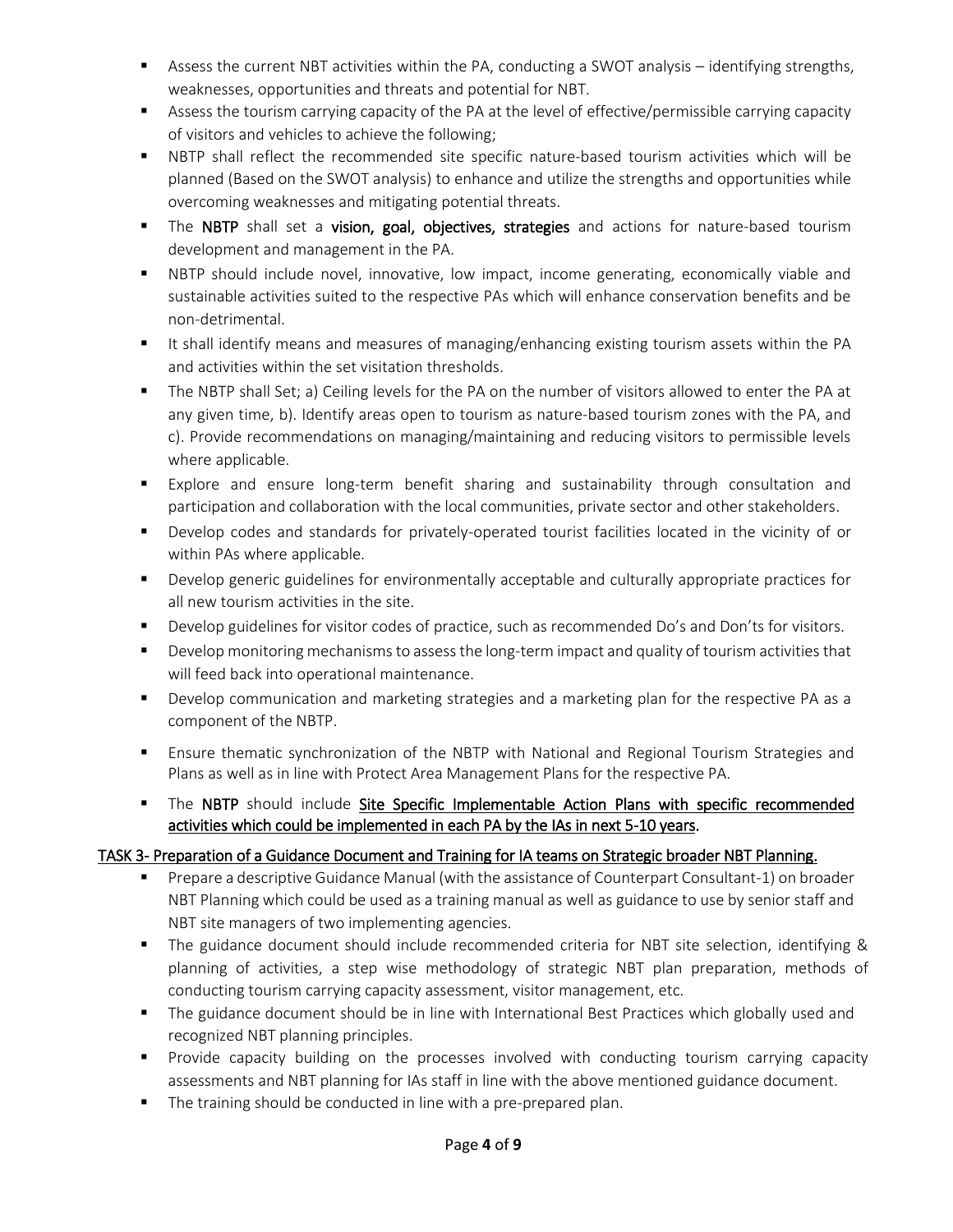- Assess the current NBT activities within the PA, conducting a SWOT analysis identifying strengths, weaknesses, opportunities and threats and potential for NBT.
- Assess the tourism carrying capacity of the PA at the level of effective/permissible carrying capacity of visitors and vehicles to achieve the following;
- NBTP shall reflect the recommended site specific nature-based tourism activities which will be planned (Based on the SWOT analysis) to enhance and utilize the strengths and opportunities while overcoming weaknesses and mitigating potential threats.
- The NBTP shall set a vision, goal, objectives, strategies and actions for nature-based tourism development and management in the PA.
- NBTP should include novel, innovative, low impact, income generating, economically viable and sustainable activities suited to the respective PAs which will enhance conservation benefits and be non-detrimental.
- It shall identify means and measures of managing/enhancing existing tourism assets within the PA and activities within the set visitation thresholds.
- The NBTP shall Set; a) Ceiling levels for the PA on the number of visitors allowed to enter the PA at any given time, b). Identify areas open to tourism as nature-based tourism zones with the PA, and c). Provide recommendations on managing/maintaining and reducing visitors to permissible levels where applicable.
- Explore and ensure long-term benefit sharing and sustainability through consultation and participation and collaboration with the local communities, private sector and other stakeholders.
- Develop codes and standards for privately-operated tourist facilities located in the vicinity of or within PAs where applicable.
- **Develop generic guidelines for environmentally acceptable and culturally appropriate practices for** all new tourism activities in the site.
- **Develop guidelines for visitor codes of practice, such as recommended Do's and Don'ts for visitors.**
- **Permit Communism** Develop monitoring mechanisms to assess the long-term impact and quality of tourism activities that will feed back into operational maintenance.
- **Develop communication and marketing strategies and a marketing plan for the respective PA as a** component of the NBTP.
- Ensure thematic synchronization of the NBTP with National and Regional Tourism Strategies and Plans as well as in line with Protect Area Management Plans for the respective PA.
- The NBTP should include Site Specific Implementable Action Plans with specific recommended activities which could be implemented in each PA by the IAs in next 5-10 years.

# TASK 3- Preparation of a Guidance Document and Training for IA teams on Strategic broader NBT Planning.

- Prepare a descriptive Guidance Manual (with the assistance of Counterpart Consultant-1) on broader NBT Planning which could be used as a training manual as well as guidance to use by senior staff and NBT site managers of two implementing agencies.
- The guidance document should include recommended criteria for NBT site selection, identifying & planning of activities, a step wise methodology of strategic NBT plan preparation, methods of conducting tourism carrying capacity assessment, visitor management, etc.
- **The guidance document should be in line with International Best Practices which globally used and** recognized NBT planning principles.
- **Pediff** Provide capacity building on the processes involved with conducting tourism carrying capacity assessments and NBT planning for IAs staff in line with the above mentioned guidance document.
- The training should be conducted in line with a pre-prepared plan.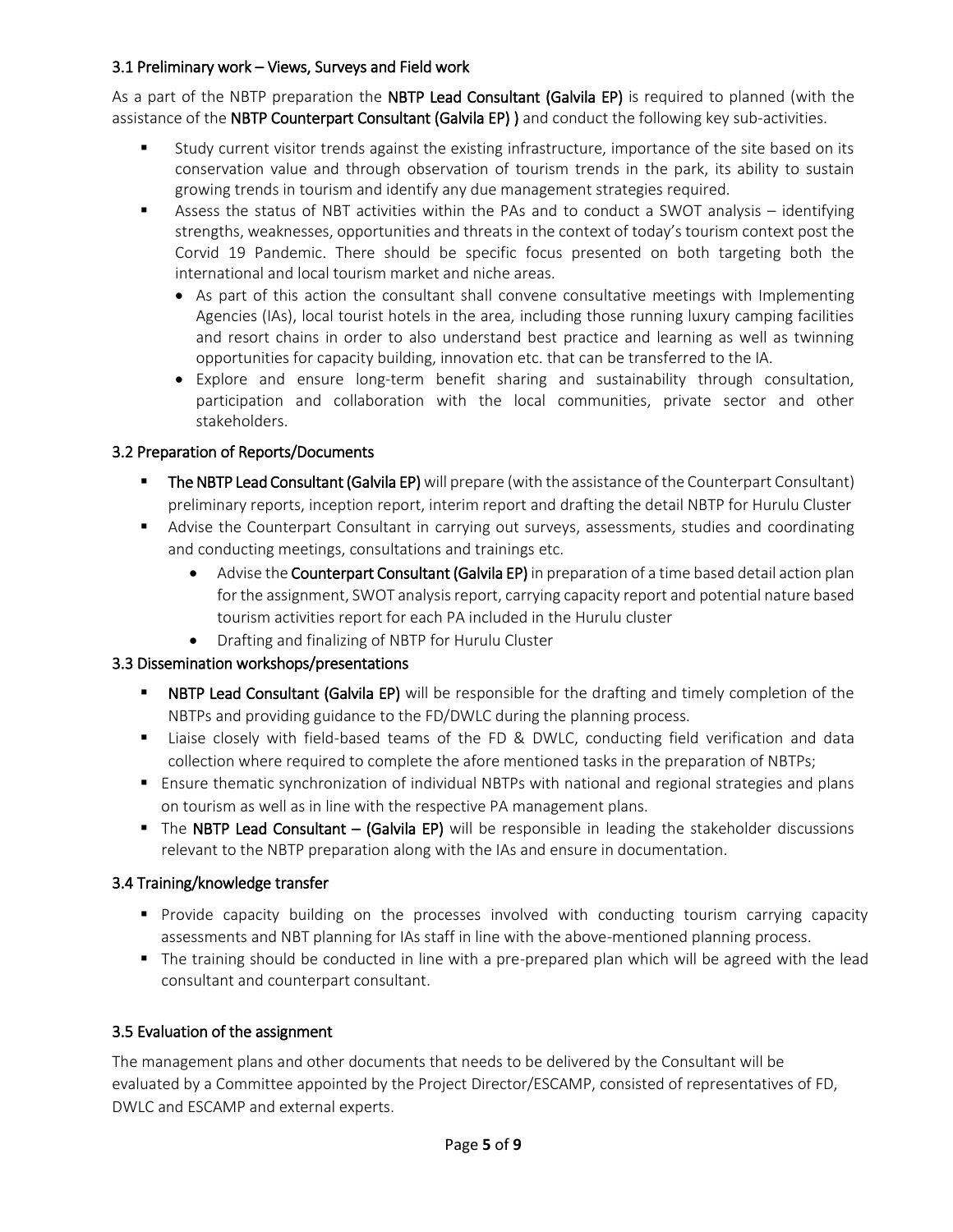### 3.1 Preliminary work – Views, Surveys and Field work

As a part of the NBTP preparation the NBTP Lead Consultant (Galvila EP) is required to planned (with the assistance of the NBTP Counterpart Consultant (Galvila EP) ) and conduct the following key sub-activities.

- Study current visitor trends against the existing infrastructure, importance of the site based on its conservation value and through observation of tourism trends in the park, its ability to sustain growing trends in tourism and identify any due management strategies required.
- Assess the status of NBT activities within the PAs and to conduct a SWOT analysis identifying strengths, weaknesses, opportunities and threats in the context of today's tourism context post the Corvid 19 Pandemic. There should be specific focus presented on both targeting both the international and local tourism market and niche areas.
	- As part of this action the consultant shall convene consultative meetings with Implementing Agencies (IAs), local tourist hotels in the area, including those running luxury camping facilities and resort chains in order to also understand best practice and learning as well as twinning opportunities for capacity building, innovation etc. that can be transferred to the IA.
	- Explore and ensure long-term benefit sharing and sustainability through consultation, participation and collaboration with the local communities, private sector and other stakeholders.

# 3.2 Preparation of Reports/Documents

- The NBTP Lead Consultant (Galvila EP) will prepare (with the assistance of the Counterpart Consultant) preliminary reports, inception report, interim report and drafting the detail NBTP for Hurulu Cluster
- Advise the Counterpart Consultant in carrying out surveys, assessments, studies and coordinating and conducting meetings, consultations and trainings etc.
	- Advise the Counterpart Consultant (Galvila EP) in preparation of a time based detail action plan for the assignment, SWOT analysis report, carrying capacity report and potential nature based tourism activities report for each PA included in the Hurulu cluster
	- Drafting and finalizing of NBTP for Hurulu Cluster

### 3.3 Dissemination workshops/presentations

- **NBTP Lead Consultant (Galvila EP)** will be responsible for the drafting and timely completion of the NBTPs and providing guidance to the FD/DWLC during the planning process.
- Liaise closely with field-based teams of the FD & DWLC, conducting field verification and data collection where required to complete the afore mentioned tasks in the preparation of NBTPs;
- Ensure thematic synchronization of individual NBTPs with national and regional strategies and plans on tourism as well as in line with the respective PA management plans.
- The NBTP Lead Consultant (Galvila EP) will be responsible in leading the stakeholder discussions relevant to the NBTP preparation along with the IAs and ensure in documentation.

### 3.4 Training/knowledge transfer

- Provide capacity building on the processes involved with conducting tourism carrying capacity assessments and NBT planning for IAs staff in line with the above-mentioned planning process.
- The training should be conducted in line with a pre-prepared plan which will be agreed with the lead consultant and counterpart consultant.

# 3.5 Evaluation of the assignment

The management plans and other documents that needs to be delivered by the Consultant will be evaluated by a Committee appointed by the Project Director/ESCAMP, consisted of representatives of FD, DWLC and ESCAMP and external experts.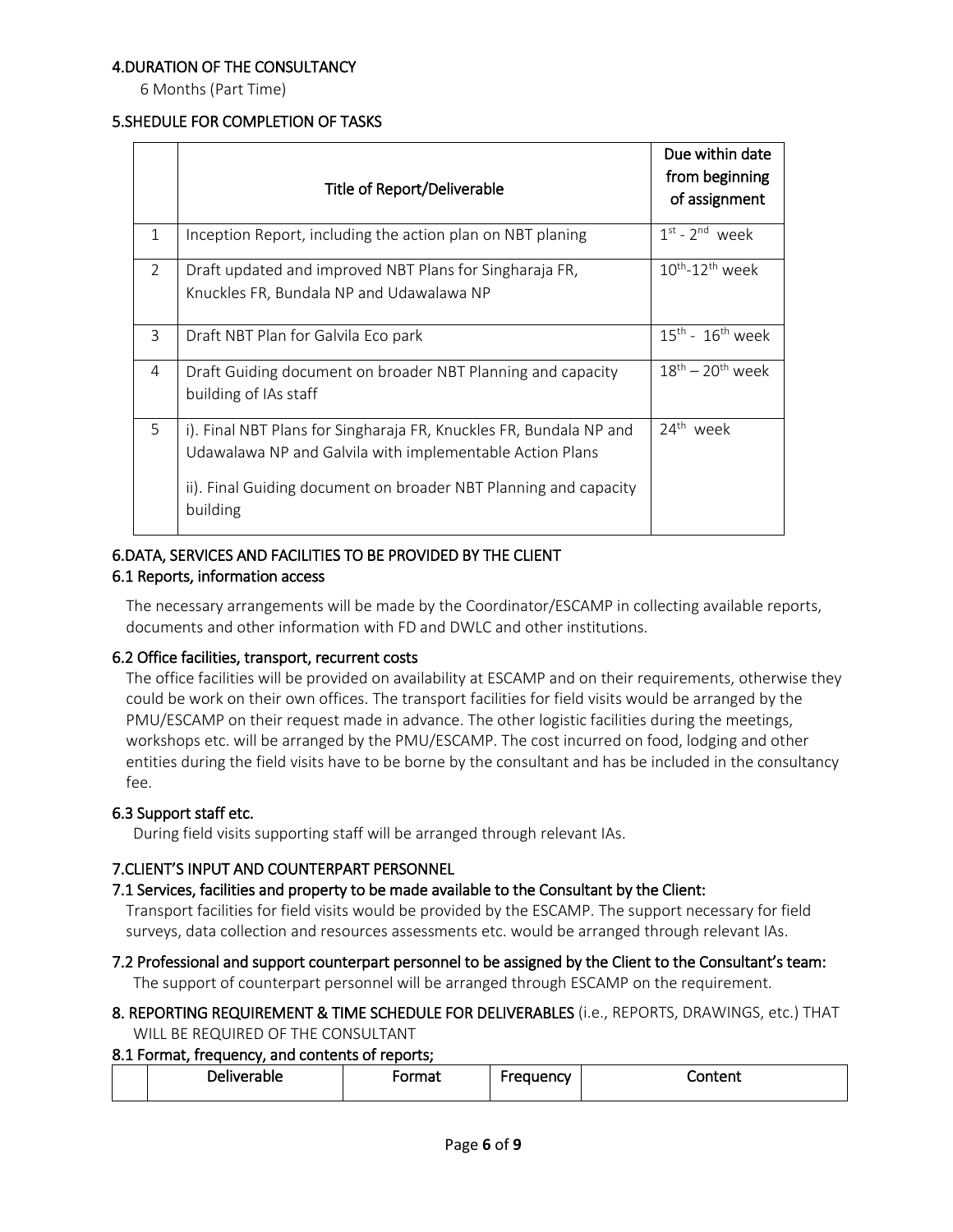### 4.DURATION OF THE CONSULTANCY

6 Months (Part Time)

#### 5.SHEDULE FOR COMPLETION OF TASKS

|               | Title of Report/Deliverable                                                                                                                                                                                    | Due within date<br>from beginning<br>of assignment |
|---------------|----------------------------------------------------------------------------------------------------------------------------------------------------------------------------------------------------------------|----------------------------------------------------|
| 1             | Inception Report, including the action plan on NBT planing                                                                                                                                                     | $1st - 2nd$ week                                   |
| $\mathcal{P}$ | Draft updated and improved NBT Plans for Singharaja FR,<br>Knuckles FR, Bundala NP and Udawalawa NP                                                                                                            | $10^{\text{th}}$ -12 <sup>th</sup> week            |
| 3             | Draft NBT Plan for Galvila Eco park                                                                                                                                                                            | $15^{\text{th}}$ - $16^{\text{th}}$ week           |
| 4             | Draft Guiding document on broader NBT Planning and capacity<br>building of IAs staff                                                                                                                           | $18th - 20th$ week                                 |
| 5             | i). Final NBT Plans for Singharaja FR, Knuckles FR, Bundala NP and<br>Udawalawa NP and Galvila with implementable Action Plans<br>ii). Final Guiding document on broader NBT Planning and capacity<br>building | 24 <sup>th</sup> week                              |

#### 6.DATA, SERVICES AND FACILITIES TO BE PROVIDED BY THE CLIENT 6.1 Reports, information access

The necessary arrangements will be made by the Coordinator/ESCAMP in collecting available reports, documents and other information with FD and DWLC and other institutions.

#### 6.2 Office facilities, transport, recurrent costs

The office facilities will be provided on availability at ESCAMP and on their requirements, otherwise they could be work on their own offices. The transport facilities for field visits would be arranged by the PMU/ESCAMP on their request made in advance. The other logistic facilities during the meetings, workshops etc. will be arranged by the PMU/ESCAMP. The cost incurred on food, lodging and other entities during the field visits have to be borne by the consultant and has be included in the consultancy fee.

### 6.3 Support staff etc.

During field visits supporting staff will be arranged through relevant IAs.

### 7.CLIENT'S INPUT AND COUNTERPART PERSONNEL

### 7.1 Services, facilities and property to be made available to the Consultant by the Client:

Transport facilities for field visits would be provided by the ESCAMP. The support necessary for field surveys, data collection and resources assessments etc. would be arranged through relevant IAs.

7.2 Professional and support counterpart personnel to be assigned by the Client to the Consultant's team: The support of counterpart personnel will be arranged through ESCAMP on the requirement.

### 8. REPORTING REQUIREMENT & TIME SCHEDULE FOR DELIVERABLES (i.e., REPORTS, DRAWINGS, etc.) THAT WILL BE REQUIRED OF THE CONSULTANT

### 8.1 Format, frequency, and contents of reports;

| -<br>Deliverable | ------<br>ша | auencv: | Content |
|------------------|--------------|---------|---------|
|                  |              |         |         |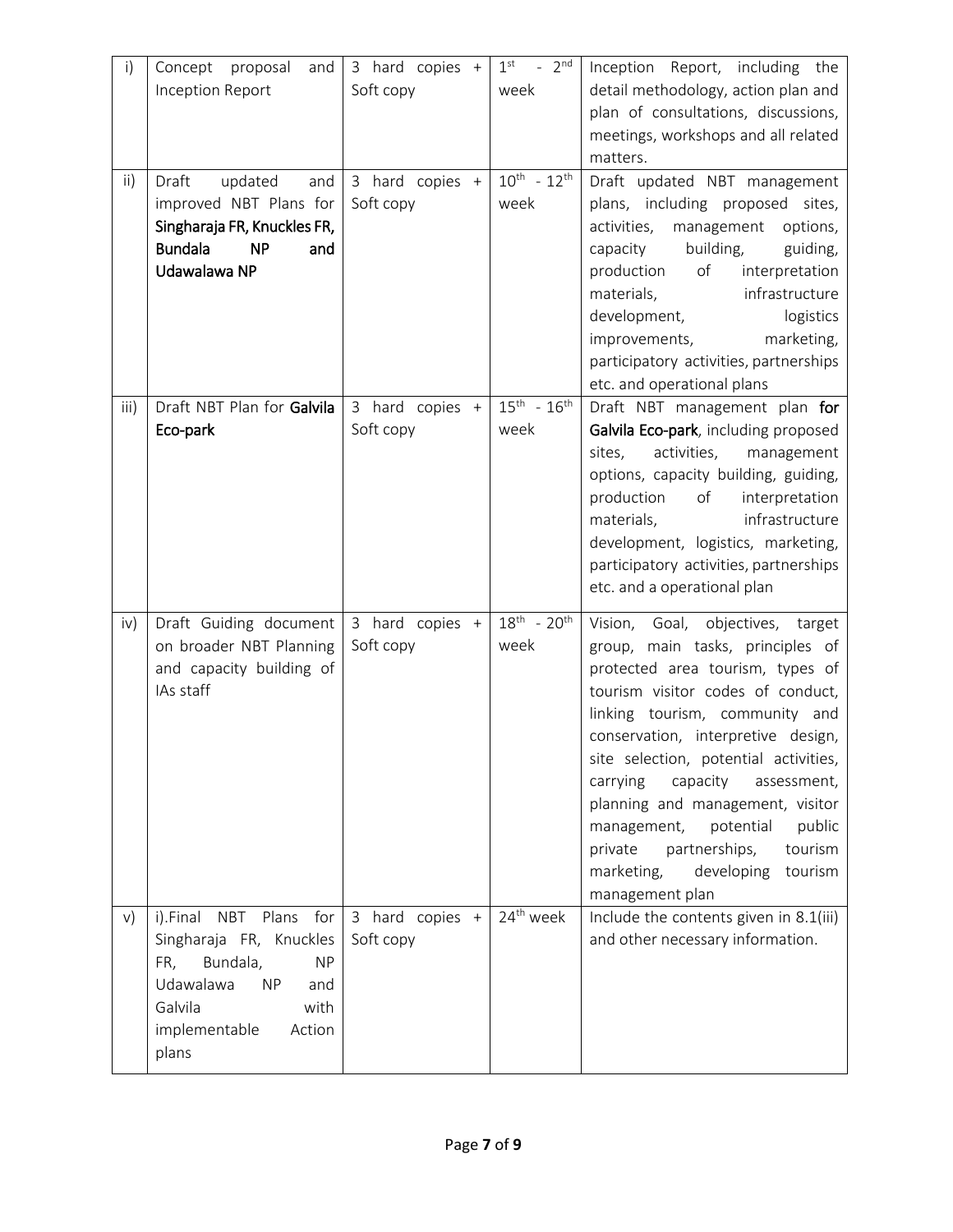| $\mathsf{i}$  | Concept proposal<br>and<br>Inception Report                                                                                                                                            | 3 hard copies +<br>Soft copy | $-2^{nd}$<br>1 <sup>st</sup><br>week | Inception Report, including the<br>detail methodology, action plan and<br>plan of consultations, discussions,<br>meetings, workshops and all related                                                                                                                                                                                                                                                                                                                                |
|---------------|----------------------------------------------------------------------------------------------------------------------------------------------------------------------------------------|------------------------------|--------------------------------------|-------------------------------------------------------------------------------------------------------------------------------------------------------------------------------------------------------------------------------------------------------------------------------------------------------------------------------------------------------------------------------------------------------------------------------------------------------------------------------------|
| $\mathsf{ii}$ | Draft<br>updated<br>and<br>improved NBT Plans for<br>Singharaja FR, Knuckles FR,<br><b>Bundala</b><br><b>NP</b><br>and<br>Udawalawa NP                                                 | 3 hard copies +<br>Soft copy | $10^{th}$ - $12^{th}$<br>week        | matters.<br>Draft updated NBT management<br>plans, including proposed sites,<br>activities,<br>management<br>options,<br>building,<br>capacity<br>guiding,<br>production<br>of<br>interpretation<br>infrastructure<br>materials,<br>development,<br>logistics<br>marketing,<br>improvements,<br>participatory activities, partnerships<br>etc. and operational plans                                                                                                                |
| iii)          | Draft NBT Plan for Galvila<br>Eco-park                                                                                                                                                 | 3 hard copies +<br>Soft copy | $15^{th} - 16^{th}$<br>week          | Draft NBT management plan for<br>Galvila Eco-park, including proposed<br>activities, management<br>sites,<br>options, capacity building, guiding,<br>production<br>of<br>interpretation<br>infrastructure<br>materials,<br>development, logistics, marketing,<br>participatory activities, partnerships<br>etc. and a operational plan                                                                                                                                              |
| iv)           | Draft Guiding document<br>on broader NBT Planning<br>and capacity building of<br>IAs staff                                                                                             | 3 hard copies +<br>Soft copy | $18^{th}$ - $20^{th}$<br>week        | Vision,<br>Goal, objectives,<br>target<br>group, main tasks, principles of<br>protected area tourism, types of<br>tourism visitor codes of conduct,<br>linking tourism, community and<br>conservation, interpretive design,<br>site selection, potential activities,<br>carrying<br>capacity<br>assessment,<br>planning and management, visitor<br>potential<br>public<br>management,<br>private<br>partnerships,<br>tourism<br>developing tourism<br>marketing,<br>management plan |
| V)            | i).Final<br><b>NBT</b><br>Plans for<br>Singharaja FR, Knuckles<br>Bundala,<br>FR,<br><b>NP</b><br>Udawalawa<br><b>NP</b><br>and<br>Galvila<br>with<br>implementable<br>Action<br>plans | 3 hard copies +<br>Soft copy | 24 <sup>th</sup> week                | Include the contents given in 8.1(iii)<br>and other necessary information.                                                                                                                                                                                                                                                                                                                                                                                                          |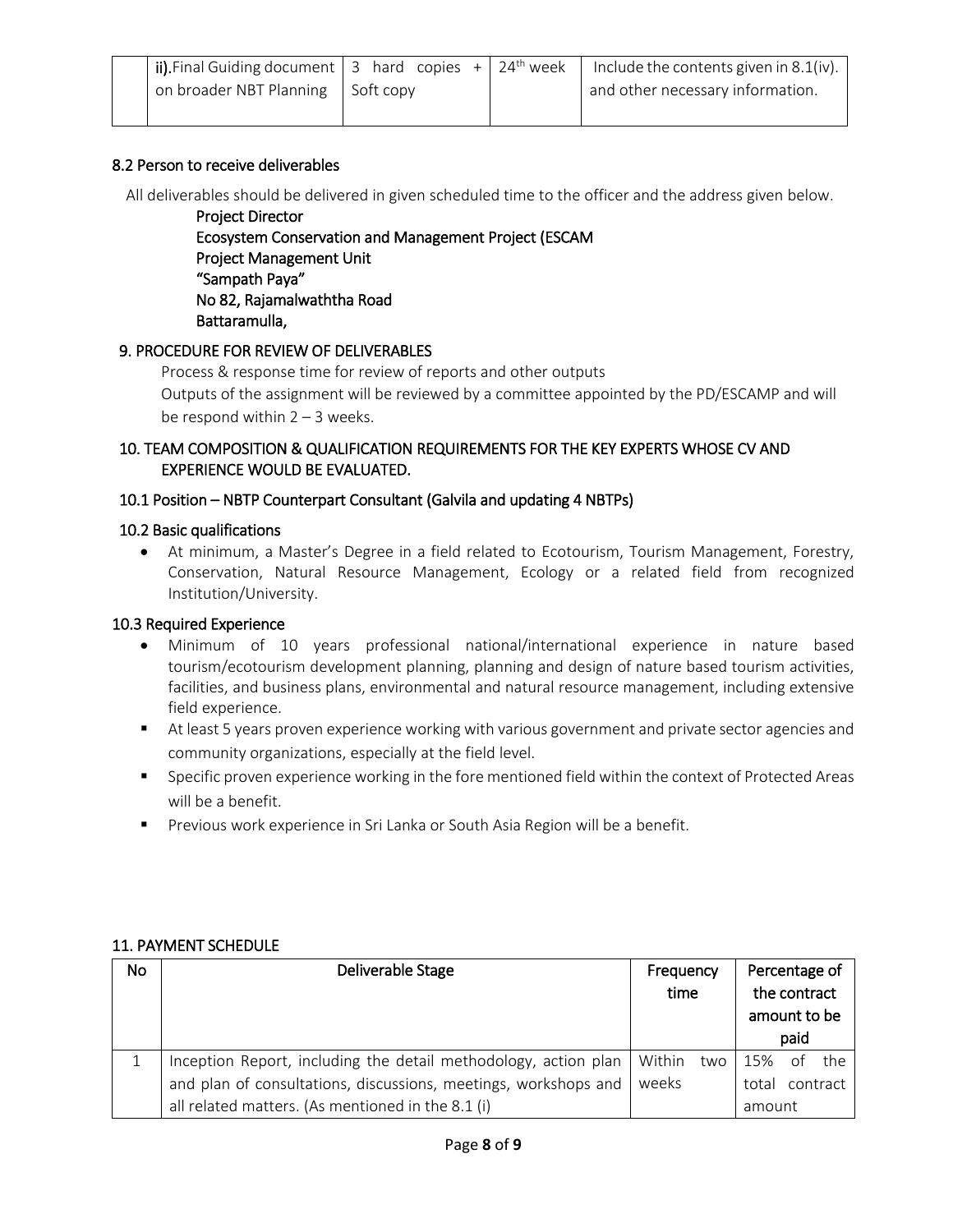| $\mid$ ii). Final Guiding document   3 hard copies +   24 <sup>th</sup> week |  | Include the contents given in 8.1(iv). |
|------------------------------------------------------------------------------|--|----------------------------------------|
| on broader NBT Planning Soft copy                                            |  | and other necessary information.       |
|                                                                              |  |                                        |

#### 8.2 Person to receive deliverables

All deliverables should be delivered in given scheduled time to the officer and the address given below.

Project Director Ecosystem Conservation and Management Project (ESCAM Project Management Unit "Sampath Paya" No 82, Rajamalwaththa Road Battaramulla,

#### 9. PROCEDURE FOR REVIEW OF DELIVERABLES

Process & response time for review of reports and other outputs

Outputs of the assignment will be reviewed by a committee appointed by the PD/ESCAMP and will be respond within  $2 - 3$  weeks.

### 10. TEAM COMPOSITION & QUALIFICATION REQUIREMENTS FOR THE KEY EXPERTS WHOSE CV AND EXPERIENCE WOULD BE EVALUATED.

#### 10.1 Position – NBTP Counterpart Consultant (Galvila and updating 4 NBTPs)

#### 10.2 Basic qualifications

 At minimum, a Master's Degree in a field related to Ecotourism, Tourism Management, Forestry, Conservation, Natural Resource Management, Ecology or a related field from recognized Institution/University.

#### 10.3 Required Experience

- Minimum of 10 years professional national/international experience in nature based tourism/ecotourism development planning, planning and design of nature based tourism activities, facilities, and business plans, environmental and natural resource management, including extensive field experience.
- At least 5 years proven experience working with various government and private sector agencies and community organizations, especially at the field level.
- **Specific proven experience working in the fore mentioned field within the context of Protected Areas** will be a benefit.
- Previous work experience in Sri Lanka or South Asia Region will be a benefit.

| No | Deliverable Stage                                               | Frequency  |        | Percentage of |  |
|----|-----------------------------------------------------------------|------------|--------|---------------|--|
|    |                                                                 | time       |        | the contract  |  |
|    |                                                                 |            |        | amount to be  |  |
|    |                                                                 |            |        | paid          |  |
|    | Inception Report, including the detail methodology, action plan | Within two | 15%    | the<br>of     |  |
|    | and plan of consultations, discussions, meetings, workshops and | weeks      | total  | contract      |  |
|    | all related matters. (As mentioned in the 8.1 (i)               |            | amount |               |  |

#### 11. PAYMENT SCHEDULE